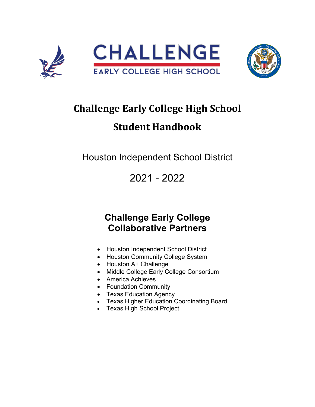



# **Challenge Early College High School Student Handbook**

Houston Independent School District

2021 - 2022

# **Challenge Early College Collaborative Partners**

- Houston Independent School District
- Houston Community College System
- Houston A+ Challenge
- Middle College Early College Consortium
- America Achieves
- Foundation Community
- Texas Education Agency
- Texas Higher Education Coordinating Board
- Texas High School Project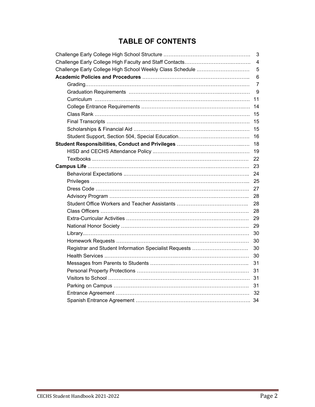## **TABLE OF CONTENTS**

|                                                           | 3              |
|-----------------------------------------------------------|----------------|
|                                                           | 4              |
| Challenge Early College High School Weekly Class Schedule | 5              |
|                                                           | 6              |
|                                                           | $\overline{7}$ |
|                                                           | 9              |
|                                                           | 11             |
|                                                           | 14             |
|                                                           | 15             |
|                                                           | 15             |
|                                                           | 15             |
|                                                           | 16             |
|                                                           | 18             |
|                                                           | 19             |
|                                                           | 22             |
|                                                           | 23             |
|                                                           | 24             |
|                                                           | 25             |
|                                                           | 27             |
|                                                           | 28             |
|                                                           | 28             |
|                                                           | 28             |
|                                                           | 29             |
|                                                           | 29             |
|                                                           | 30             |
|                                                           | 30             |
| Registrar and Student Information Specialist Requests     | 30             |
|                                                           | 30             |
|                                                           | 31             |
|                                                           | 31             |
|                                                           |                |
|                                                           | 31             |
|                                                           |                |
|                                                           |                |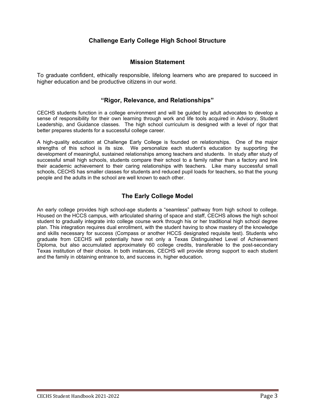## **Challenge Early College High School Structure**

### **Mission Statement**

To graduate confident, ethically responsible, lifelong learners who are prepared to succeed in higher education and be productive citizens in our world.

### **"Rigor, Relevance, and Relationships"**

CECHS students function in a college environment and will be guided by adult advocates to develop a sense of responsibility for their own learning through work and life tools acquired in Advisory, Student Leadership, and Guidance classes. The high school curriculum is designed with a level of rigor that better prepares students for a successful college career.

A high-quality education at Challenge Early College is founded on relationships. One of the major strengths of this school is its size. We personalize each student's education by supporting the development of meaningful, sustained relationships among teachers and students. In study after study of successful small high schools, students compare their school to a family rather than a factory and link their academic achievement to their caring relationships with teachers. Like many successful small schools, CECHS has smaller classes for students and reduced pupil loads for teachers, so that the young people and the adults in the school are well known to each other.

## **The Early College Model**

An early college provides high school-age students a "seamless" pathway from high school to college. Housed on the HCCS campus, with articulated sharing of space and staff, CECHS allows the high school student to gradually integrate into college course work through his or her traditional high school degree plan. This integration requires dual enrollment, with the student having to show mastery of the knowledge and skills necessary for success (Compass or another HCCS designated requisite test). Students who graduate from CECHS will potentially have not only a Texas Distinguished Level of Achievement Diploma, but also accumulated approximately 60 college credits, transferable to the post-secondary Texas institution of their choice. In both instances, CECHS will provide strong support to each student and the family in obtaining entrance to, and success in, higher education.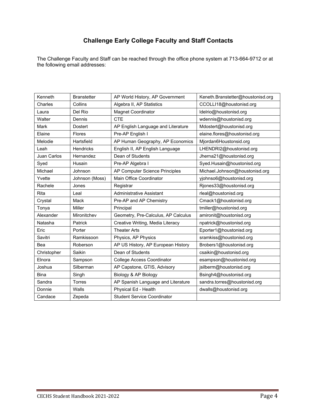## **Challenge Early College Faculty and Staff Contacts**

The Challenge Faculty and Staff can be reached through the office phone system at 713-664-9712 or at the following email addresses:

| Kenneth            | <b>Branstetter</b> | AP World History, AP Government     | Keneth.Branstetter@houstonisd.org |  |
|--------------------|--------------------|-------------------------------------|-----------------------------------|--|
| Charles            | Collins            | Algebra II, AP Statistics           | CCOLLI18@houstonisd.org           |  |
| Laura              | Del Rio            | <b>Magnet Coordinator</b>           | Idelrio@houstonisd.org            |  |
| Walter             | Dennis             | <b>CTE</b>                          | wdennis@houstonisd.org            |  |
| <b>Mark</b>        | <b>Dostert</b>     | AP English Language and Literature  | Mdostert@houstonisd.org           |  |
| Elaine             | <b>Flores</b>      | Pre-AP English I                    | elaine.flores@houstonisd.org      |  |
| Melodie            | Hartsfield         | AP Human Geography, AP Economics    | Mjordan6Houstonsid.org            |  |
| Leah               | <b>Hendricks</b>   | English II, AP English Language     | LHENDRI2@houstonisd.org           |  |
| <b>Juan Carlos</b> | Hernandez          | Dean of Students                    | Jherna21@houstonisd.org           |  |
| Syed               | Husain             | Pre-AP Algebra I                    | Syed.Husain@houstonisd.org        |  |
| Michael            | Johnson            | AP Computer Science Principles      | Michael.Johnson@houstonisd.org    |  |
| Yvette             | Johnson (Moss)     | Main Office Coordinator             | yjohnso6@houstonisd.org           |  |
| Rachele            | Jones              | Registrar                           | Rjones33@houstonisd.org           |  |
| <b>Rita</b>        | Leal               | <b>Administrative Assistant</b>     | rleal@houstonisd.org              |  |
| Crystal            | Mack               | Pre-AP and AP Chemistry             | Cmack1@houstonisd.org             |  |
| Tonya              | Miller             | Principal                           | tmiller@houstonisd.org            |  |
| Alexander          | Mironitchev        | Geometry, Pre-Calculus, AP Calculus | amironit@houstonisd.org           |  |
| Natasha            | Patrick            | Creative Writing, Media Literacy    | npatrick@houstonisd.org           |  |
| Eric               | Porter             | <b>Theater Arts</b>                 | Eporter1@houstonisd.org           |  |
| Savitri            | Ramkissoon         | Physics, AP Physics                 | sramkiss@houstonisd.org           |  |
| Bea                | Roberson           | AP US History, AP European History  | Brobers1@houstonisd.org           |  |
| Christopher        | Saikin             | Dean of Students                    | csaikin@houstonisd.org            |  |
| Elnora             | Sampson            | <b>College Access Coordinator</b>   | esampson@houstonisd.org           |  |
| Joshua             | Silberman          | AP Capstone, GTIS, Advisory         | jsilberm@houstonisd.org           |  |
| <b>Bina</b>        | Singh              | Biology & AP Biology                | Bsingh4@houstonisd.org            |  |
| Sandra             | Torres             | AP Spanish Language and Literature  | sandra.torres@houstonisd.org      |  |
| Donnie             | Walls              | Physical Ed - Health                | dwalls@houstonisd.org             |  |
| Candace            | Zepeda             | <b>Student Service Coordinator</b>  |                                   |  |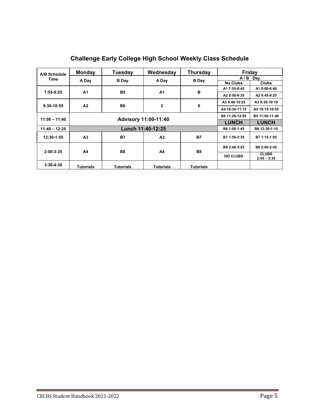| A/B Schedule<br>Time | Monday                      | Tuesday          | Wednesday        | Thursday         | Friday          |                               |
|----------------------|-----------------------------|------------------|------------------|------------------|-----------------|-------------------------------|
|                      | A Day                       | <b>B</b> Day     | A Day            | <b>B</b> Day     |                 | $A/B$ Day                     |
|                      |                             |                  |                  |                  | <b>No Clubs</b> | <b>Clubs</b>                  |
| 7:55-9:25            | A <sub>1</sub>              | <b>B5</b>        | <b>A1</b>        | в                | A1 7:55-8:45    | A1 8:00-8:40                  |
|                      |                             |                  |                  |                  | A2 8:50-9:35    | A2 8:45-9:25                  |
| $9:30-10:55$         | A2                          | <b>B6</b>        | $\mathbf{2}$     | 6                | A3 9:40-10:25   | A3 9:30-10:10                 |
|                      |                             |                  |                  |                  | A4 10:30-11:15  | A4 10:15-10:55                |
|                      | <b>Advisory 11:00-11:40</b> |                  |                  |                  | B5 11:20-12:05  | B5 11:00-11:40                |
| $11:00 - 11:40$      |                             |                  |                  |                  | <b>LUNCH</b>    | <b>LUNCH</b>                  |
| $11:40 - 12:25$      | Lunch 11:40-12:25           |                  |                  |                  | B6 1:00-1:45    | B6 12:30-1:10                 |
| 12:30-1:55           | A <sub>3</sub>              | <b>B7</b>        | A <sub>3</sub>   | <b>B7</b>        | B7 1:50-2:35    | B7 1:15-1:55                  |
| $2:00 - 3:35$        | A4                          |                  | A4               | <b>B8</b>        | B8 2:40-3:25    | B8 2:00-2:45                  |
|                      |                             | <b>B8</b>        |                  |                  | <b>NO CLUBS</b> | <b>CLUBS</b><br>$2:45 - 3:35$ |
| $3:30-4:30$          | <b>Tutorials</b>            | <b>Tutorials</b> | <b>Tutorials</b> | <b>Tutorials</b> |                 |                               |

## **Challenge Early College High School Weekly Class Schedule**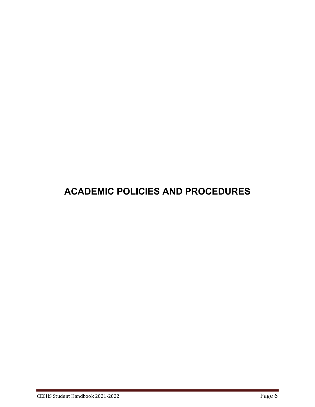# **ACADEMIC POLICIES AND PROCEDURES**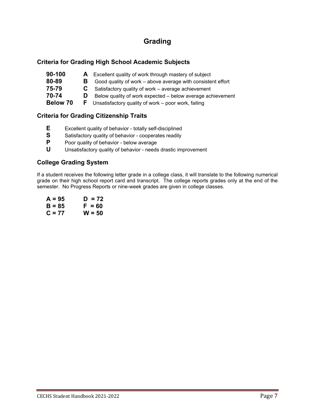## **Grading**

## **Criteria for Grading High School Academic Subjects**

| $90 - 100$ | A | Excellent quality of work through mastery of subject         |
|------------|---|--------------------------------------------------------------|
| 80-89      | в | Good quality of work – above average with consistent effort  |
| 75-79      |   | Satisfactory quality of work – average achievement           |
| 70-74      |   | Below quality of work expected – below average achievement   |
| Below 70   |   | <b>F</b> Unsatisfactory quality of work – poor work, failing |

## **Criteria for Grading Citizenship Traits**

- **E** Excellent quality of behavior totally self-disciplined<br> **S** Satisfactory quality of behavior cooperates readily
- **S** Satisfactory quality of behavior cooperates readily<br>**P** Poor quality of behavior below average
- **P** Poor quality of behavior below average<br>**U** Unsatisfactory quality of behavior needs
- **U** Unsatisfactory quality of behavior needs drastic improvement

## **College Grading System**

If a student receives the following letter grade in a college class, it will translate to the following numerical grade on their high school report card and transcript. The college reports grades only at the end of the semester. No Progress Reports or nine-week grades are given in college classes.

| $A = 95$ | $D = 72$ |
|----------|----------|
| $B = 85$ | $F = 60$ |
| $C = 77$ | $W = 50$ |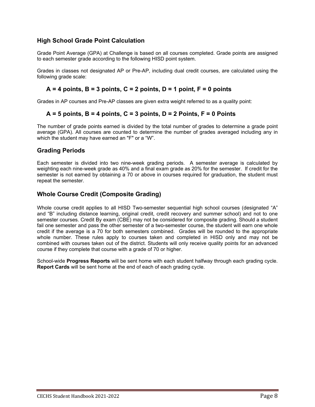## **High School Grade Point Calculation**

Grade Point Average (GPA) at Challenge is based on all courses completed. Grade points are assigned to each semester grade according to the following HISD point system.

Grades in classes not designated AP or Pre-AP, including dual credit courses, are calculated using the following grade scale:

## **A = 4 points, B = 3 points, C = 2 points, D = 1 point, F = 0 points**

Grades in AP courses and Pre-AP classes are given extra weight referred to as a quality point:

## **A = 5 points, B = 4 points, C = 3 points, D = 2 Points, F = 0 Points**

The number of grade points earned is divided by the total number of grades to determine a grade point average (GPA). All courses are counted to determine the number of grades averaged including any in which the student may have earned an "F" or a "W".

### **Grading Periods**

Each semester is divided into two nine-week grading periods. A semester average is calculated by weighting each nine-week grade as 40% and a final exam grade as 20% for the semester. If credit for the semester is not earned by obtaining a 70 or above in courses required for graduation, the student must repeat the semester.

## **Whole Course Credit (Composite Grading)**

Whole course credit applies to all HISD Two-semester sequential high school courses (designated "A" and "B" including distance learning, original credit, credit recovery and summer school) and not to one semester courses. Credit By exam (CBE) may not be considered for composite grading. Should a student fail one semester and pass the other semester of a two-semester course, the student will earn one whole credit if the average is a 70 for both semesters combined. Grades will be rounded to the appropriate whole number. These rules apply to courses taken and completed in HISD only and may not be combined with courses taken out of the district. Students will only receive quality points for an advanced course if they complete that course with a grade of 70 or higher.

School-wide **Progress Reports** will be sent home with each student halfway through each grading cycle. **Report Cards** will be sent home at the end of each of each grading cycle.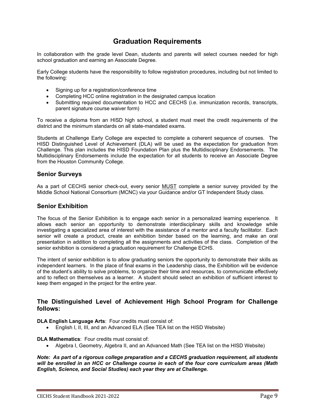## **Graduation Requirements**

In collaboration with the grade level Dean, students and parents will select courses needed for high school graduation and earning an Associate Degree.

Early College students have the responsibility to follow registration procedures, including but not limited to the following:

- Signing up for a registration/conference time
- Completing HCC online registration in the designated campus location
- Submitting required documentation to HCC and CECHS (i.e. immunization records, transcripts, parent signature course waiver form)

To receive a diploma from an HISD high school, a student must meet the credit requirements of the district and the minimum standards on all state-mandated exams.

Students at Challenge Early College are expected to complete a coherent sequence of courses. The HISD Distinguished Level of Achievement (DLA) will be used as the expectation for graduation from Challenge. This plan includes the HISD Foundation Plan plus the Multidisciplinary Endorsements. The Multidisciplinary Endorsements include the expectation for all students to receive an Associate Degree from the Houston Community College.

### **Senior Surveys**

As a part of CECHS senior check-out, every senior MUST complete a senior survey provided by the Middle School National Consortium (MCNC) via your Guidance and/or GT Independent Study class.

### **Senior Exhibition**

The focus of the Senior Exhibition is to engage each senior in a personalized learning experience. It allows each senior an opportunity to demonstrate interdisciplinary skills and knowledge while investigating a specialized area of interest with the assistance of a mentor and a faculty facilitator. Each senior will create a product, create an exhibition binder based on the learning, and make an oral presentation in addition to completing all the assignments and activities of the class. Completion of the senior exhibition is considered a graduation requirement for Challenge ECHS.

The intent of senior exhibition is to allow graduating seniors the opportunity to demonstrate their skills as independent learners. In the place of final exams in the Leadership class, the Exhibition will be evidence of the student's ability to solve problems, to organize their time and resources, to communicate effectively and to reflect on themselves as a learner. A student should select an exhibition of sufficient interest to keep them engaged in the project for the entire year.

### **The Distinguished Level of Achievement High School Program for Challenge follows:**

**DLA English Language Arts**: Four credits must consist of:

• English I, II, III, and an Advanced ELA (See TEA list on the HISD Website)

**DLA Mathematics**: Four credits must consist of:

• Algebra I, Geometry, Algebra II, and an Advanced Math (See TEA list on the HISD Website)

*Note: As part of a rigorous college preparation and a CECHS graduation requirement, all students will be enrolled in an HCC or Challenge course in each of the four core curriculum areas (Math English, Science, and Social Studies) each year they are at Challenge.*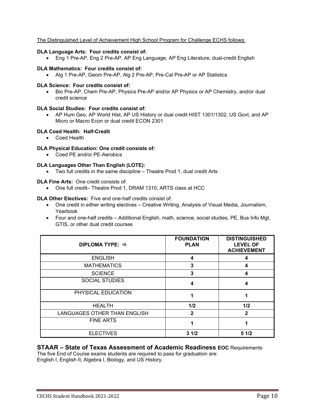### The Distinguished Level of Achievement High School Program for Challenge ECHS follows:

#### **DLA Language Arts: Four credits consist of:**

• Eng 1 Pre-AP, Eng 2 Pre-AP. AP Eng Language, AP Eng Literature, dual-credit English

#### **DLA Mathematics: Four credits consist of:**

• Alg 1 Pre-AP, Geom Pre-AP, Alg 2 Pre-AP, Pre-Cal Pre-AP or AP Statistics

#### **DLA Science: Four credits consist of:**

• Bio Pre-AP, Chem Pre-AP, Physics Pre-AP and/or AP Physics or AP Chemistry, and/or dual credit science

### **DLA Social Studies: Four credits consist of:**

• AP Hum Geo, AP World Hist, AP US History or dual credit HIST 1301/1302, US Govt, and AP Micro or Macro Econ or dual credit ECON 2301

### **DLA Coed Health: Half-Credit**

• Coed Health

### **DLA Physical Education: One credit consists of:**

• Coed PE and/or PE-Aerobics

### **DLA Languages Other Than English (LOTE):**

• Two full credits in the same discipline – Theatre Prod 1, dual credit Arts

### **DLA Fine Arts:** One credit consists of:

• One full credit– Theatre Prod 1, DRAM 1310, ARTS class at HCC

### **DLA Other Electives:** Five and one-half credits consist of:

- One credit in either writing electives Creative Writing, Analysis of Visual Media, Journalism, Yearbook
- Four and one-half credits Additional English, math, science, social studies, PE, Bus Info Mgt, GTIS, or other dual credit courses

| DIPLOMA TYPE: $\Rightarrow$  | <b>FOUNDATION</b><br><b>PLAN</b> | <b>DISTINGUISHED</b><br><b>LEVEL OF</b><br><b>ACHIEVEMENT</b> |
|------------------------------|----------------------------------|---------------------------------------------------------------|
| <b>ENGLISH</b>               | 4                                |                                                               |
| <b>MATHEMATICS</b>           | 3                                | 4                                                             |
| <b>SCIENCE</b>               | 3                                | 4                                                             |
| <b>SOCIAL STUDIES</b>        | 4                                | 4                                                             |
| PHYSICAL EDUCATION           |                                  |                                                               |
| <b>HEALTH</b>                | 1/2                              | 1/2                                                           |
| LANGUAGES OTHER THAN ENGLISH | $\mathbf{2}$                     | $\mathbf{2}$                                                  |
| <b>FINE ARTS</b>             |                                  |                                                               |
| <b>ELECTIVES</b>             | 31/2                             | 51/2                                                          |

### **STAAR – State of Texas Assessment of Academic Readiness EOC** Requirements

The five End of Course exams students are required to pass for graduation are: English I, English II, Algebra I, Biology, and US History.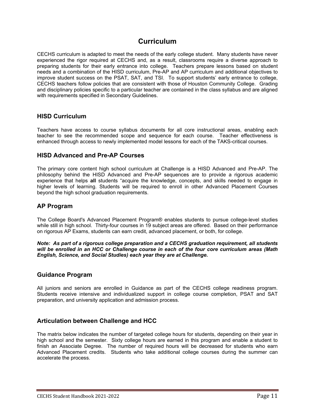## **Curriculum**

CECHS curriculum is adapted to meet the needs of the early college student. Many students have never experienced the rigor required at CECHS and, as a result, classrooms require a diverse approach to preparing students for their early entrance into college. Teachers prepare lessons based on student needs and a combination of the HISD curriculum, Pre-AP and AP curriculum and additional objectives to improve student success on the PSAT, SAT, and TSI. To support students' early entrance to college, CECHS teachers follow policies that are consistent with those of Houston Community College. Grading and disciplinary policies specific to a particular teacher are contained in the class syllabus and are aligned with requirements specified in Secondary Guidelines.

### **HISD Curriculum**

Teachers have access to course syllabus documents for all core instructional areas, enabling each teacher to see the recommended scope and sequence for each course. Teacher effectiveness is enhanced through access to newly implemented model lessons for each of the TAKS-critical courses.

### **HISD Advanced and Pre-AP Courses**

The primary core content high school curriculum at Challenge is a HISD Advanced and Pre-AP. The philosophy behind the HISD Advanced and Pre-AP sequences are to provide a rigorous academic experience that helps **all** students "acquire the knowledge, concepts, and skills needed to engage in higher levels of learning. Students will be required to enroll in other Advanced Placement Courses beyond the high school graduation requirements.

### **AP Program**

The College Board's Advanced Placement Program® enables students to pursue college-level studies while still in high school. Thirty-four courses in 19 subject areas are offered. Based on their performance on rigorous AP Exams, students can earn credit, advanced placement, or both, for college.

*Note: As part of a rigorous college preparation and a CECHS graduation requirement, all students will be enrolled in an HCC or Challenge course in each of the four core curriculum areas (Math English, Science, and Social Studies) each year they are at Challenge.* 

### **Guidance Program**

All juniors and seniors are enrolled in Guidance as part of the CECHS college readiness program. Students receive intensive and individualized support in college course completion, PSAT and SAT preparation, and university application and admission process.

### **Articulation between Challenge and HCC**

The matrix below indicates the number of targeted college hours for students, depending on their year in high school and the semester. Sixty college hours are earned in this program and enable a student to finish an Associate Degree. The number of required hours will be decreased for students who earn Advanced Placement credits. Students who take additional college courses during the summer can accelerate the process.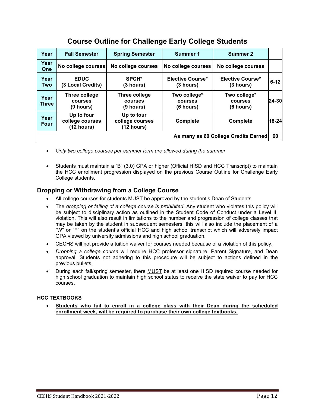| Year                                 | <b>Fall Semester</b>                         | <b>Spring Semester</b>                       | <b>Summer 1</b>                             | <b>Summer 2</b>                      |          |
|--------------------------------------|----------------------------------------------|----------------------------------------------|---------------------------------------------|--------------------------------------|----------|
| Year<br>One                          | No college courses                           | No college courses                           | No college courses                          | No college courses                   |          |
| Year<br>Two                          | <b>EDUC</b><br>(3 Local Credits)             | SPCH <sup>*</sup><br>(3 hours)               | Elective Course*<br>(3 hours)               | Elective Course*<br>(3 hours)        | $6 - 12$ |
| Year<br><b>Three</b>                 | <b>Three college</b><br>courses<br>(9 hours) | Three college<br><b>courses</b><br>(9 hours) | Two college*<br><b>courses</b><br>(6 hours) | Two college*<br>courses<br>(6 hours) | 24-30    |
| Year<br><b>Four</b>                  | Up to four<br>college courses<br>(12 hours)  | Up to four<br>college courses<br>(12 hours)  | Complete                                    | <b>Complete</b>                      | 18-24    |
| As many as 60 College Credits Earned |                                              |                                              |                                             |                                      |          |

## **Course Outline for Challenge Early College Students**

- *Only two college courses per summer term are allowed during the summer*
- Students must maintain a "B" (3.0) GPA or higher (Official HISD and HCC Transcript) to maintain the HCC enrollment progression displayed on the previous Course Outline for Challenge Early College students.

## **Dropping or Withdrawing from a College Course**

- All college courses for students MUST be approved by the student's Dean of Students.
- The *dropping or failing of a college course is prohibited.* Any student who violates this policy will be subject to disciplinary action as outlined in the Student Code of Conduct under a Level III violation. This will also result in limitations to the number and progression of college classes that may be taken by the student in subsequent semesters; this will also include the placement of a "W" or "F" on the student's official HCC and high school transcript which will adversely impact GPA viewed by university admissions and high school graduation.
- CECHS will not provide a tuition waiver for courses needed because of a violation of this policy.
- *Dropping a college course* will require HCC professor signature, Parent Signature, and Dean approval. Students not adhering to this procedure will be subject to actions defined in the previous bullets.
- During each fall/spring semester, there MUST be at least one HISD required course needed for high school graduation to maintain high school status to receive the state waiver to pay for HCC courses.

### **HCC TEXTBOOKS**

• **Students who fail to enroll in a college class with their Dean during the scheduled enrollment week, will be required to purchase their own college textbooks.**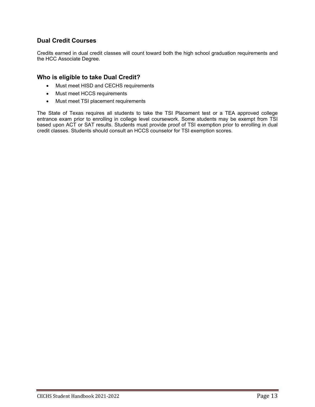## **Dual Credit Courses**

Credits earned in dual credit classes will count toward both the high school graduation requirements and the HCC Associate Degree.

### **Who is eligible to take Dual Credit?**

- Must meet HISD and CECHS requirements
- Must meet HCCS requirements
- Must meet TSI placement requirements

The State of Texas requires all students to take the TSI Placement test or a TEA approved college entrance exam prior to enrolling in college level coursework. Some students may be exempt from TSI based upon ACT or SAT results. Students must provide proof of TSI exemption prior to enrolling in dual credit classes. Students should consult an HCCS counselor for TSI exemption scores.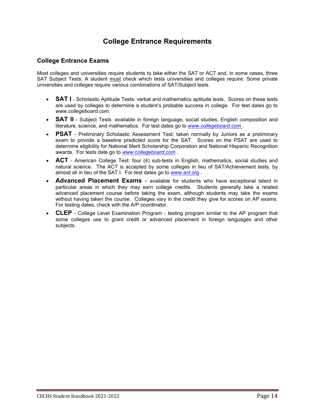## **College Entrance Requirements**

## **College Entrance Exams**

Most colleges and universities require students to take either the SAT or ACT and, in some cases, three SAT Subject Tests. A student must check which tests universities and colleges require. Some private universities and colleges require various combinations of SAT/Subject tests.

- **SAT I** Scholastic Aptitude Tests: verbal and mathematics aptitude tests. Scores on these tests are used by colleges to determine a student's probable success in college. For test dates go to *www.collegeboard.com.*
- **SAT II** Subject Tests: available in foreign language, social studies, English composition and literature, science, and mathematics. For test dates go to *[www.collegeboard.com](http://www.collegeboard.com/) .*
- **PSAT** Preliminary Scholastic Assessment Test: taken normally by Juniors as a preliminary exam to provide a baseline predicted score for the SAT. Scores on the PSAT are used to determine eligibility for National Merit Scholarship Corporation and National Hispanic Recognition awards. For tests date go to *[www.collegeboard.com](http://www.collegeboard.com/)* .
- **ACT** American College Test: four (4) sub-tests in English, mathematics, social studies and natural science. The ACT is accepted by some colleges in lieu of SAT/Achievement tests, by almost all in lieu of the SAT I. For test dates go to *[www.act.org](http://www.act.org/)* .
- **Advanced Placement Exams** available for students who have exceptional talent in particular areas in which they may earn college credits. Students generally take a related advanced placement course before taking the exam, although students may take the exams without having taken the course. Colleges vary in the credit they give for scores on AP exams. For testing dates, check with the A/P coordinator.
- **CLEP** College Level Examination Program testing program similar to the AP program that some colleges use to grant credit or advanced placement in foreign languages and other subjects.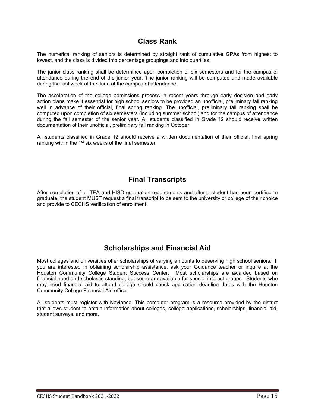## **Class Rank**

The numerical ranking of seniors is determined by straight rank of cumulative GPAs from highest to lowest, and the class is divided into percentage groupings and into quartiles.

The junior class ranking shall be determined upon completion of six semesters and for the campus of attendance during the end of the junior year. The junior ranking will be computed and made available during the last week of the June at the campus of attendance.

The acceleration of the college admissions process in recent years through early decision and early action plans make it essential for high school seniors to be provided an unofficial, preliminary fall ranking well in advance of their official, final spring ranking. The unofficial, preliminary fall ranking shall be computed upon completion of six semesters (including summer school) and for the campus of attendance during the fall semester of the senior year. All students classified in Grade 12 should receive written documentation of their unofficial, preliminary fall ranking in October.

All students classified in Grade 12 should receive a written documentation of their official, final spring ranking within the 1<sup>st</sup> six weeks of the final semester.

## **Final Transcripts**

After completion of all TEA and HISD graduation requirements and after a student has been certified to graduate, the student MUST request a final transcript to be sent to the university or college of their choice and provide to CECHS verification of enrollment.

## **Scholarships and Financial Aid**

Most colleges and universities offer scholarships of varying amounts to deserving high school seniors. If you are interested in obtaining scholarship assistance, ask your Guidance teacher or inquire at the Houston Community College Student Success Center. Most scholarships are awarded based on financial need and scholastic standing, but some are available for special interest groups. Students who may need financial aid to attend college should check application deadline dates with the Houston Community College Financial Aid office.

All students must register with Naviance. This computer program is a resource provided by the district that allows student to obtain information about colleges, college applications, scholarships, financial aid, student surveys, and more.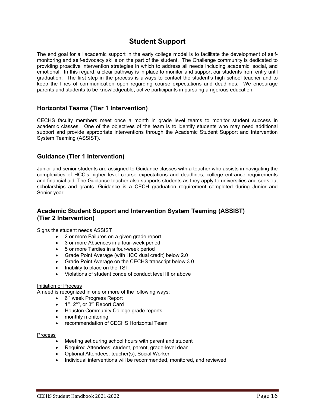## **Student Support**

The end goal for all academic support in the early college model is to facilitate the development of selfmonitoring and self-advocacy skills on the part of the student. The Challenge community is dedicated to providing proactive intervention strategies in which to address all needs including academic, social, and emotional. In this regard, a clear pathway is in place to monitor and support our students from entry until graduation. The first step in the process is always to contact the student's high school teacher and to keep the lines of communication open regarding course expectations and deadlines. We encourage parents and students to be knowledgeable, active participants in pursuing a rigorous education.

### **Horizontal Teams (Tier 1 Intervention)**

CECHS faculty members meet once a month in grade level teams to monitor student success in academic classes. One of the objectives of the team is to identify students who may need additional support and provide appropriate interventions through the Academic Student Support and Intervention System Teaming (ASSIST).

### **Guidance (Tier 1 Intervention)**

Junior and senior students are assigned to Guidance classes with a teacher who assists in navigating the complexities of HCC's higher level course expectations and deadlines, college entrance requirements and financial aid. The Guidance teacher also supports students as they apply to universities and seek out scholarships and grants. Guidance is a CECH graduation requirement completed during Junior and Senior year.

## **Academic Student Support and Intervention System Teaming (ASSIST) (Tier 2 Intervention)**

Signs the student needs ASSIST

- 2 or more Failures on a given grade report
- 3 or more Absences in a four-week period
- 5 or more Tardies in a four-week period
- Grade Point Average (with HCC dual credit) below 2.0
- Grade Point Average on the CECHS transcript below 3.0
- Inability to place on the TSI
- Violations of student conde of conduct level III or above

#### Initiation of Process

A need is recognized in one or more of the following ways:

- $\bullet$  6<sup>th</sup> week Progress Report
- 1<sup>st</sup>, 2<sup>nd</sup>, or 3<sup>rd</sup> Report Card
- Houston Community College grade reports
- monthly monitoring
- recommendation of CECHS Horizontal Team

#### Process

- Meeting set during school hours with parent and student
- Required Attendees: student, parent, grade-level dean
- Optional Attendees: teacher(s), Social Worker
- Individual interventions will be recommended, monitored, and reviewed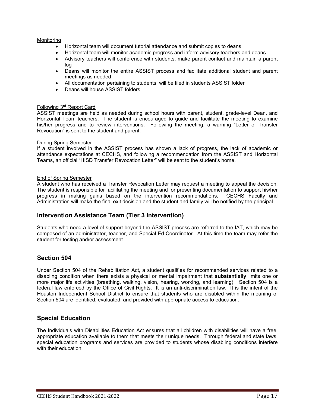### Monitoring

- Horizontal team will document tutorial attendance and submit copies to deans
- Horizontal team will monitor academic progress and inform advisory teachers and deans
- Advisory teachers will conference with students, make parent contact and maintain a parent log
- Deans will monitor the entire ASSIST process and facilitate additional student and parent meetings as needed.
- All documentation pertaining to students, will be filed in students ASSIST folder
- Deans will house ASSIST folders

#### Following 3rd Report Card

ASSIST meetings are held as needed during school hours with parent, student, grade-level Dean, and Horizontal Team teachers. The student is encouraged to guide and facilitate the meeting to examine his/her progress and to review interventions. Following the meeting, a warning "Letter of Transfer Revocation" is sent to the student and parent.

#### During Spring Semester

If a student involved in the ASSIST process has shown a lack of progress, the lack of academic or attendance expectations at CECHS, and following a recommendation from the ASSIST and Horizontal Teams, an official "HISD Transfer Revocation Letter" will be sent to the student's home.

#### End of Spring Semester

A student who has received a Transfer Revocation Letter may request a meeting to appeal the decision. The student is responsible for facilitating the meeting and for presenting documentation to support his/her progress in making gains based on the intervention recommendations. CECHS Faculty and Administration will make the final exit decision and the student and family will be notified by the principal.

### **Intervention Assistance Team (Tier 3 Intervention)**

Students who need a level of support beyond the ASSIST process are referred to the IAT, which may be composed of an administrator, teacher, and Special Ed Coordinator. At this time the team may refer the student for testing and/or assessment.

### **Section 504**

Under Section 504 of the Rehabilitation Act, a student qualifies for recommended services related to a disabling condition when there exists a physical or mental impairment that **substantially** limits one or more major life activities (breathing, walking, vision, hearing, working, and learning). Section 504 is a federal law enforced by the Office of Civil Rights. It is an anti-discrimination law. It is the intent of the Houston Independent School District to ensure that students who are disabled within the meaning of Section 504 are identified, evaluated, and provided with appropriate access to education.

### **Special Education**

The Individuals with Disabilities Education Act ensures that all children with disabilities will have a free, appropriate education available to them that meets their unique needs. Through federal and state laws, special education programs and services are provided to students whose disabling conditions interfere with their education.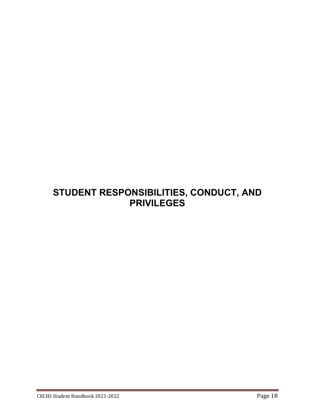# **STUDENT RESPONSIBILITIES, CONDUCT, AND PRIVILEGES**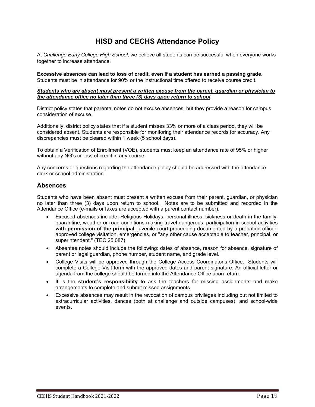## **HISD and CECHS Attendance Policy**

At *Challenge Early College High School,* we believe all students can be successful when everyone works together to increase attendance.

**Excessive absences can lead to loss of credit, even if a student has earned a passing grade.** Students must be in attendance for 90% or the instructional time offered to receive course credit.

#### *Students who are absent must present a written excuse from the parent, guardian or physician to the attendance office no later than three (3) days upon return to school*.

District policy states that parental notes do not excuse absences, but they provide a reason for campus consideration of excuse.

Additionally, district policy states that if a student misses 33% or more of a class period, they will be considered absent. Students are responsible for monitoring their attendance records for accuracy. Any discrepancies must be cleared within 1 week (5 school days).

To obtain a Verification of Enrollment (VOE), students must keep an attendance rate of 95% or higher without any NG's or loss of credit in any course.

Any concerns or questions regarding the attendance policy should be addressed with the attendance clerk or school administration.

### **Absences**

Students who have been absent must present a written excuse from their parent, guardian, or physician no later than three (3) days upon return to school. Notes are to be submitted and recorded in the Attendance Office (e-mails or faxes are accepted with a parent contact number).

- Excused absences include: Religious Holidays, personal illness, sickness or death in the family, quarantine, weather or road conditions making travel dangerous, participation in school activities **with permission of the principal**, juvenile court proceeding documented by a probation officer, approved college visitation, emergencies, or "any other cause acceptable to teacher, principal, or superintendent." (TEC 25.087)
- Absentee notes should include the following: dates of absence, reason for absence, signature of parent or legal guardian, phone number, student name, and grade level.
- College Visits will be approved through the College Access Coordinator's Office. Students will complete a College Visit form with the approved dates and parent signature. An official letter or agenda from the college should be turned into the Attendance Office upon return.
- It is the **student's responsibility** to ask the teachers for missing assignments and make arrangements to complete and submit missed assignments.
- Excessive absences may result in the revocation of campus privileges including but not limited to extracurricular activities, dances (both at challenge and outside campuses), and school-wide events.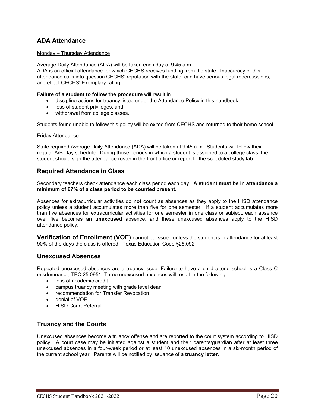## **ADA Attendance**

#### Monday – Thursday Attendance

Average Daily Attendance (ADA) will be taken each day at 9:45 a.m.

ADA is an official attendance for which CECHS receives funding from the state. Inaccuracy of this attendance calls into question CECHS' reputation with the state, can have serious legal repercussions, and effect CECHS' Exemplary rating.

#### **Failure of a student to follow the procedure** will result in

- discipline actions for truancy listed under the Attendance Policy in this handbook,
- loss of student privileges, and
- withdrawal from college classes.

Students found unable to follow this policy will be exited from CECHS and returned to their home school.

#### Friday Attendance

State required Average Daily Attendance (ADA) will be taken at 9:45 a.m. Students will follow their regular A/B-Day schedule. During those periods in which a student is assigned to a college class, the student should sign the attendance roster in the front office or report to the scheduled study lab.

### **Required Attendance in Class**

Secondary teachers check attendance each class period each day. **A student must be in attendance a minimum of 67% of a class period to be counted present.**

Absences for extracurricular activities do **not** count as absences as they apply to the HISD attendance policy unless a student accumulates more than five for one semester. If a student accumulates more than five absences for extracurricular activities for one semester in one class or subject, each absence over five becomes an **unexcused** absence, and these unexcused absences apply to the HISD attendance policy.

**Verification of Enrollment (VOE)** cannot be issued unless the student is in attendance for at least 90% of the days the class is offered. Texas Education Code §25.092

### **Unexcused Absences**

Repeated unexcused absences are a truancy issue. Failure to have a child attend school is a Class C misdemeanor, TEC 25.0951. Three unexcused absences will result in the following:

- loss of academic credit
- campus truancy meeting with grade level dean
- recommendation for Transfer Revocation
- denial of VOE
- HISD Court Referral

### **Truancy and the Courts**

Unexcused absences become a truancy offense and are reported to the court system according to HISD policy. A court case may be initiated against a student and their parents/guardian after at least three unexcused absences in a four-week period or at least 10 unexcused absences in a six-month period of the current school year. Parents will be notified by issuance of a **truancy letter**.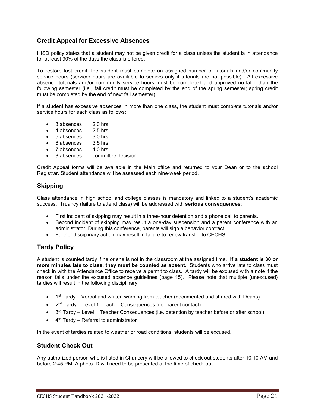## **Credit Appeal for Excessive Absences**

HISD policy states that a student may not be given credit for a class unless the student is in attendance for at least 90% of the days the class is offered.

To restore lost credit, the student must complete an assigned number of tutorials and/or community service hours (servicer hours are available to seniors only if tutorials are not possible). All excessive absence tutorials and/or community service hours must be completed and approved no later than the following semester (i.e., fall credit must be completed by the end of the spring semester; spring credit must be completed by the end of next fall semester).

If a student has excessive absences in more than one class, the student must complete tutorials and/or service hours for each class as follows:

- 3 absences 2.0 hrs
- 4 absences 2.5 hrs
- 5 absences 3.0 hrs
- 6 absences 3.5 hrs
- 7 absences 4.0 hrs
- committee decision

Credit Appeal forms will be available in the Main office and returned to your Dean or to the school Registrar. Student attendance will be assessed each nine-week period.

### **Skipping**

Class attendance in high school and college classes is mandatory and linked to a student's academic success. Truancy (failure to attend class) will be addressed with **serious consequences**:

- First incident of skipping may result in a three-hour detention and a phone call to parents.
- Second incident of skipping may result a one-day suspension and a parent conference with an administrator. During this conference, parents will sign a behavior contract.
- Further disciplinary action may result in failure to renew transfer to CECHS

### **Tardy Policy**

A student is counted tardy if he or she is not in the classroom at the assigned time. **If a student is 30 or more minutes late to class, they must be counted as absent.** Students who arrive late to class must check in with the Attendance Office to receive a permit to class. A tardy will be excused with a note if the reason falls under the excused absence guidelines (page 15). Please note that multiple (unexcused) tardies will result in the following disciplinary:

- 1<sup>st</sup> Tardy Verbal and written warning from teacher (documented and shared with Deans)
- $2<sup>nd</sup>$  Tardy Level 1 Teacher Consequences (i.e. parent contact)
- $3<sup>rd</sup>$  Tardy Level 1 Teacher Consequences (i.e. detention by teacher before or after school)
- $\bullet$  4<sup>th</sup> Tardy Referral to administrator

In the event of tardies related to weather or road conditions, students will be excused.

### **Student Check Out**

Any authorized person who is listed in Chancery will be allowed to check out students after 10:10 AM and before 2:45 PM. A photo ID will need to be presented at the time of check out.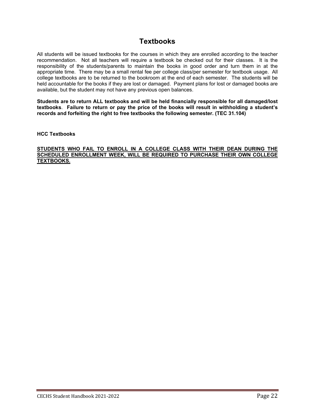## **Textbooks**

All students will be issued textbooks for the courses in which they are enrolled according to the teacher recommendation. Not all teachers will require a textbook be checked out for their classes. It is the responsibility of the students/parents to maintain the books in good order and turn them in at the appropriate time. There may be a small rental fee per college class/per semester for textbook usage. All college textbooks are to be returned to the bookroom at the end of each semester. The students will be held accountable for the books if they are lost or damaged. Payment plans for lost or damaged books are available, but the student may not have any previous open balances.

**Students are to return ALL textbooks and will be held financially responsible for all damaged/lost textbooks**. **Failure to return or pay the price of the books will result in withholding a student's records and forfeiting the right to free textbooks the following semester. (TEC 31.104)**

### **HCC Textbooks**

### **STUDENTS WHO FAIL TO ENROLL IN A COLLEGE CLASS WITH THEIR DEAN DURING THE SCHEDULED ENROLLMENT WEEK, WILL BE REQUIRED TO PURCHASE THEIR OWN COLLEGE TEXTBOOKS.**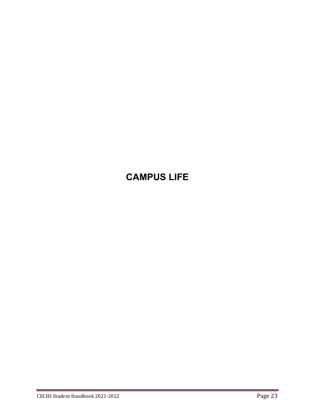# **CAMPUS LIFE**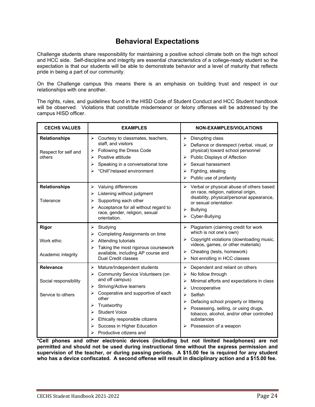## **Behavioral Expectations**

Challenge students share responsibility for maintaining a positive school climate both on the high school and HCC side. Self-discipline and integrity are essential characteristics of a college-ready student so the expectation is that our students will be able to demonstrate behavior and a level of maturity that reflects pride in being a part of our community.

On the Challenge campus this means there is an emphasis on building trust and respect in our relationships with one another.

The rights, rules, and guidelines found in the HISD Code of Student Conduct and HCC Student handbook will be observed. Violations that constitute misdemeanor or felony offenses will be addressed by the campus HISD officer.

| <b>CECHS VALUES</b>                                     | <b>EXAMPLES</b>                                                                                                                                                                                                                                                                                                                         | <b>NON-EXAMPLES/VIOLATIONS</b>                                                                                                                                                                                                                                                                                                                          |  |  |
|---------------------------------------------------------|-----------------------------------------------------------------------------------------------------------------------------------------------------------------------------------------------------------------------------------------------------------------------------------------------------------------------------------------|---------------------------------------------------------------------------------------------------------------------------------------------------------------------------------------------------------------------------------------------------------------------------------------------------------------------------------------------------------|--|--|
| <b>Relationships</b><br>Respect for self and<br>others  | $\triangleright$ Courtesy to classmates, teachers,<br>staff, and visitors<br>Following the Dress Code<br>⋗<br>Positive attitude<br>⋗<br>Speaking in a conversational tone<br>⋗<br>"Chill"/relaxed environment                                                                                                                           | Disrupting class<br>≻<br>Defiance or disrespect (verbal, visual, or<br>➤<br>physical) toward school personnel<br>Public Displays of Affection<br>⋗<br>Sexual harassment<br>↘<br>Fighting, stealing<br>⋗<br>Public use of profanity<br>➤                                                                                                                 |  |  |
| <b>Relationships</b><br>Tolerance                       | Valuing differences<br>⋗<br>Listening without judgment<br>⋗<br>Supporting each other<br>⋗<br>Acceptance for all without regard to<br>⋗<br>race, gender, religion, sexual<br>orientation.                                                                                                                                                | Verbal or physical abuse of others based<br>≻<br>on race, religion, national origin,<br>disability, physical/personal appearance,<br>or sexual orientation<br><b>Bullying</b><br>⋗<br>Cyber-Bullying<br>↘                                                                                                                                               |  |  |
| <b>Rigor</b><br>Work ethic<br>Academic integrity        | Studying<br>➤<br>Completing Assignments on time<br>⋗<br>Attending tutorials<br>⋗<br>Taking the most rigorous coursework<br>⋗<br>available, including AP course and<br>Dual Credit classes                                                                                                                                               | Plagiarism (claiming credit for work<br>≻<br>which is not one's own)<br>Copyright violations (downloading music,<br>$\blacktriangleright$<br>videos, games, or other materials)<br>Cheating (tests, homework)<br>➤<br>Not enrolling in HCC classes<br>➤                                                                                                 |  |  |
| Relevance<br>Social responsibility<br>Service to others | Mature/Independent students<br>➤<br><b>Community Service Volunteers (on</b><br>➤<br>and off campus)<br><b>Striving/Active learners</b><br>⋗<br>Cooperative and supportive of each<br>➤<br>other<br>Trustworthy<br>➤<br><b>Student Voice</b><br>Ethically responsible citizens<br>Success in Higher Education<br>Productive citizens and | Dependent and reliant on others<br>⋗<br>No follow through<br>⋗<br>Minimal efforts and expectations in class<br>⋗<br>Uncooperative<br>⋗<br>Selfish<br>↘<br>Defacing school property or littering<br>⋗<br>Possessing, selling, or using drugs,<br>➤<br>tobacco, alcohol, and/or other controlled<br>substances<br>$\triangleright$ Possession of a weapon |  |  |

**\*Cell phones and other electronic devices (including but not limited headphones) are not permitted and should not be used during instructional time without the express permission and supervision of the teacher, or during passing periods. A \$15.00 fee is required for any student who has a device confiscated. A second offense will result in disciplinary action and a \$15.00 fee.**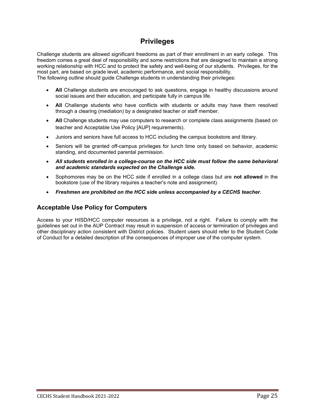## **Privileges**

Challenge students are allowed significant freedoms as part of their enrollment in an early college. This freedom comes a great deal of responsibility and some restrictions that are designed to maintain a strong working relationship with HCC and to protect the safety and well-being of our students. Privileges, for the most part, are based on grade level, academic performance, and social responsibility.

The following outline should guide Challenge students in understanding their privileges:

- **All** Challenge students are encouraged to ask questions, engage in healthy discussions around social issues and their education, and participate fully in campus life.
- **All** Challenge students who have conflicts with students or adults may have them resolved through a clearing (mediation) by a designated teacher or staff member.
- **All** Challenge students may use computers to research or complete class assignments (based on teacher and Acceptable Use Policy [AUP] requirements).
- Juniors and seniors have full access to HCC including the campus bookstore and library.
- Seniors will be granted off-campus privileges for lunch time only based on behavior, academic standing, and documented parental permission.
- *All students enrolled in a college-course on the HCC side must follow the same behavioral and academic standards expected on the Challenge side.*
- Sophomores may be on the HCC side if enrolled in a college class but are **not allowed** in the bookstore (use of the library requires a teacher's note and assignment).
- *Freshmen are prohibited on the HCC side unless accompanied by a CECHS teacher.*

### **Acceptable Use Policy for Computers**

Access to your HISD/HCC computer resources is a privilege, not a right. Failure to comply with the guidelines set out in the AUP Contract may result in suspension of access or termination of privileges and other disciplinary action consistent with District policies. Student users should refer to the Student Code of Conduct for a detailed description of the consequences of improper use of the computer system.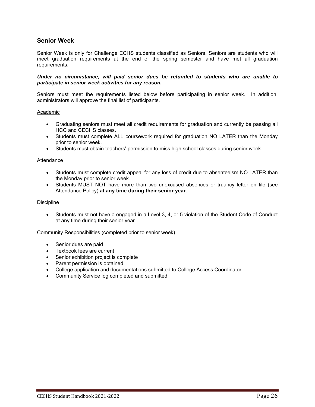### **Senior Week**

Senior Week is only for Challenge ECHS students classified as Seniors. Seniors are students who will meet graduation requirements at the end of the spring semester and have met all graduation requirements.

#### *Under no circumstance, will paid senior dues be refunded to students who are unable to participate in senior week activities for any reason.*

Seniors must meet the requirements listed below before participating in senior week. In addition, administrators will approve the final list of participants.

#### Academic

- Graduating seniors must meet all credit requirements for graduation and currently be passing all HCC and CECHS classes.
- Students must complete ALL coursework required for graduation NO LATER than the Monday prior to senior week.
- Students must obtain teachers' permission to miss high school classes during senior week.

#### Attendance

- Students must complete credit appeal for any loss of credit due to absenteeism NO LATER than the Monday prior to senior week.
- Students MUST NOT have more than two unexcused absences or truancy letter on file (see Attendance Policy) **at any time during their senior year**.

#### Discipline

• Students must not have a engaged in a Level 3, 4, or 5 violation of the Student Code of Conduct at any time during their senior year.

#### Community Responsibilities (completed prior to senior week)

- Senior dues are paid
- Textbook fees are current
- Senior exhibition project is complete
- Parent permission is obtained
- College application and documentations submitted to College Access Coordinator
- Community Service log completed and submitted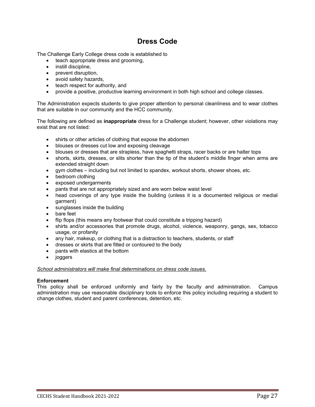## **Dress Code**

The Challenge Early College dress code is established to

- teach appropriate dress and grooming,
- instill discipline.
- prevent disruption,
- avoid safety hazards,
- teach respect for authority, and
- provide a positive, productive learning environment in both high school and college classes.

The Administration expects students to give proper attention to personal cleanliness and to wear clothes that are suitable in our community and the HCC community.

The following are defined as **inappropriate** dress for a Challenge student; however, other violations may exist that are not listed:

- shirts or other articles of clothing that expose the abdomen
- blouses or dresses cut low and exposing cleavage
- blouses or dresses that are strapless, have spaghetti straps, racer backs or are halter tops
- shorts, skirts, dresses, or slits shorter than the tip of the student's middle finger when arms are extended straight down
- gym clothes including but not limited to spandex, workout shorts, shower shoes, etc.
- bedroom clothing
- exposed undergarments
- pants that are not appropriately sized and are worn below waist level
- head coverings of any type inside the building (unless it is a documented religious or medial garment)
- sunglasses inside the building
- bare feet
- flip flops (this means any footwear that could constitute a tripping hazard)
- shirts and/or accessories that promote drugs, alcohol, violence, weaponry, gangs, sex, tobacco usage, or profanity
- any hair, makeup, or clothing that is a distraction to teachers, students, or staff
- dresses or skirts that are fitted or contoured to the body
- pants with elastics at the bottom
- joggers

*School administrators will make final determinations on dress code issues.*

#### **Enforcement**

This policy shall be enforced uniformly and fairly by the faculty and administration. Campus administration may use reasonable disciplinary tools to enforce this policy including requiring a student to change clothes, student and parent conferences, detention, etc.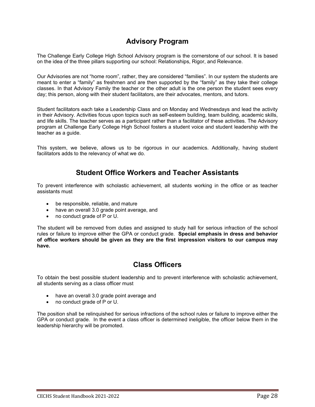## **Advisory Program**

The Challenge Early College High School Advisory program is the cornerstone of our school. It is based on the idea of the three pillars supporting our school: Relationships, Rigor, and Relevance.

Our Advisories are not "home room", rather, they are considered "families". In our system the students are meant to enter a "family" as freshmen and are then supported by the "family" as they take their college classes. In that Advisory Family the teacher or the other adult is the one person the student sees every day; this person, along with their student facilitators, are their advocates, mentors, and tutors.

Student facilitators each take a Leadership Class and on Monday and Wednesdays and lead the activity in their Advisory. Activities focus upon topics such as self-esteem building, team building, academic skills, and life skills. The teacher serves as a participant rather than a facilitator of these activities. The Advisory program at Challenge Early College High School fosters a student voice and student leadership with the teacher as a guide.

This system, we believe, allows us to be rigorous in our academics. Additionally, having student facilitators adds to the relevancy of what we do.

## **Student Office Workers and Teacher Assistants**

To prevent interference with scholastic achievement, all students working in the office or as teacher assistants must

- be responsible, reliable, and mature
- have an overall 3.0 grade point average, and
- no conduct grade of P or U.

The student will be removed from duties and assigned to study hall for serious infraction of the school rules or failure to improve either the GPA or conduct grade. **Special emphasis in dress and behavior of office workers should be given as they are the first impression visitors to our campus may have.**

## **Class Officers**

To obtain the best possible student leadership and to prevent interference with scholastic achievement, all students serving as a class officer must

- have an overall 3.0 grade point average and
- no conduct grade of P or U.

The position shall be relinquished for serious infractions of the school rules or failure to improve either the GPA or conduct grade. In the event a class officer is determined ineligible, the officer below them in the leadership hierarchy will be promoted.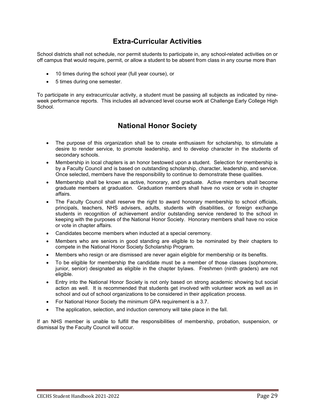## **Extra-Curricular Activities**

School districts shall not schedule, nor permit students to participate in, any school-related activities on or off campus that would require, permit, or allow a student to be absent from class in any course more than

- 10 times during the school year (full year course), or
- 5 times during one semester.

To participate in any extracurricular activity, a student must be passing all subjects as indicated by nineweek performance reports. This includes all advanced level course work at Challenge Early College High School.

## **National Honor Society**

- The purpose of this organization shall be to create enthusiasm for scholarship, to stimulate a desire to render service, to promote leadership, and to develop character in the students of secondary schools.
- Membership in local chapters is an honor bestowed upon a student. Selection for membership is by a Faculty Council and is based on outstanding scholarship, character, leadership, and service. Once selected, members have the responsibility to continue to demonstrate these qualities.
- Membership shall be known as active, honorary, and graduate. Active members shall become graduate members at graduation. Graduation members shall have no voice or vote in chapter affairs.
- The Faculty Council shall reserve the right to award honorary membership to school officials, principals, teachers, NHS advisers, adults, students with disabilities, or foreign exchange students in recognition of achievement and/or outstanding service rendered to the school in keeping with the purposes of the National Honor Society. Honorary members shall have no voice or vote in chapter affairs.
- Candidates become members when inducted at a special ceremony.
- Members who are seniors in good standing are eligible to be nominated by their chapters to compete in the National Honor Society Scholarship Program.
- Members who resign or are dismissed are never again eligible for membership or its benefits.
- To be eligible for membership the candidate must be a member of those classes (sophomore, junior, senior) designated as eligible in the chapter bylaws. Freshmen (ninth graders) are not eligible.
- Entry into the National Honor Society is not only based on strong academic showing but social action as well. It is recommended that students get involved with volunteer work as well as in school and out of school organizations to be considered in their application process.
- For National Honor Society the minimum GPA requirement is a 3.7.
- The application, selection, and induction ceremony will take place in the fall.

If an NHS member is unable to fulfill the responsibilities of membership, probation, suspension, or dismissal by the Faculty Council will occur.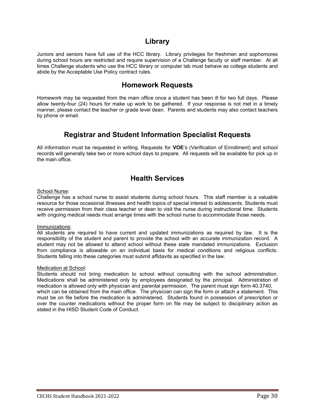## **Library**

Juniors and seniors have full use of the HCC library. Library privileges for freshmen and sophomores during school hours are restricted and require supervision of a Challenge faculty or staff member. At all times Challenge students who use the HCC library or computer lab must behave as college students and abide by the Acceptable Use Policy contract rules.

## **Homework Requests**

Homework may be requested from the main office once a student has been ill for two full days. Please allow twenty-four (24) hours for make up work to be gathered. If your response is not met in a timely manner, please contact the teacher or grade level dean. Parents and students may also contact teachers by phone or email.

## **Registrar and Student Information Specialist Requests**

All information must be requested in writing. Requests for **VOE**'s (Verification of Enrollment) and school records will generally take two or more school days to prepare. All requests will be available for pick up in the main office.

## **Health Services**

#### School Nurse:

Challenge has a school nurse to assist students during school hours. This staff member is a valuable resource for those occasional illnesses and health topics of special interest to adolescents. Students must receive permission from their class teacher or dean to visit the nurse during instructional time. Students with ongoing medical needs must arrange times with the school nurse to accommodate those needs.

#### Immunizations:

All students are required to have current and updated immunizations as required by law. It is the responsibility of the student and parent to provide the school with an accurate immunization record. A student may not be allowed to attend school without these state mandated immunizations. Exclusion from compliance is allowable on an individual basis for medical conditions and religious conflicts. Students falling into these categories must submit affidavits as specified in the law.

### Medication at School:

Students should not bring medication to school without consulting with the school administration. Medications shall be administered only by employees designated by the principal. Administration of medication is allowed only with physician and parental permission. The parent must sign form 40.3740, which can be obtained from the main office. The physician can sign the form or attach a statement. This must be on file before the medication is administered. Students found in possession of prescription or over the counter medications without the proper form on file may be subject to disciplinary action as stated in the HISD Student Code of Conduct.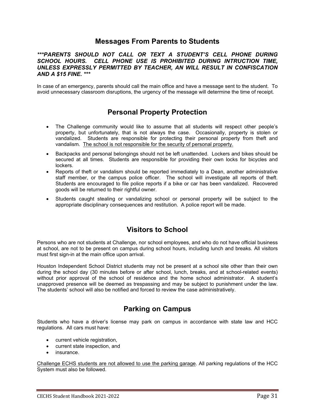## **Messages From Parents to Students**

### *\*\*\*PARENTS SHOULD NOT CALL OR TEXT A STUDENT'S CELL PHONE DURING SCHOOL HOURS. CELL PHONE USE IS PROHIBITED DURING INTRUCTION TIME, UNLESS EXPRESSLY PERMITTED BY TEACHER, AN WILL RESULT IN CONFISCATION AND A \$15 FINE. \*\*\**

In case of an emergency, parents should call the main office and have a message sent to the student. To avoid unnecessary classroom disruptions, the urgency of the message will determine the time of receipt.

## **Personal Property Protection**

- The Challenge community would like to assume that all students will respect other people's property, but unfortunately, that is not always the case. Occasionally, property is stolen or vandalized. Students are responsible for protecting their personal property from theft and vandalism. The school is not responsible for the security of personal property.
- Backpacks and personal belongings should not be left unattended. Lockers and bikes should be secured at all times. Students are responsible for providing their own locks for bicycles and lockers.
- Reports of theft or vandalism should be reported immediately to a Dean, another administrative staff member, or the campus police officer. The school will investigate all reports of theft. Students are encouraged to file police reports if a bike or car has been vandalized. Recovered goods will be returned to their rightful owner.
- Students caught stealing or vandalizing school or personal property will be subject to the appropriate disciplinary consequences and restitution. A police report will be made.

## **Visitors to School**

Persons who are not students at Challenge, nor school employees, and who do not have official business at school, are not to be present on campus during school hours, including lunch and breaks. All visitors must first sign-in at the main office upon arrival.

Houston Independent School District students may not be present at a school site other than their own during the school day (30 minutes before or after school, lunch, breaks, and at school-related events) without prior approval of the school of residence and the home school administrator. A student's unapproved presence will be deemed as trespassing and may be subject to punishment under the law. The students' school will also be notified and forced to review the case administratively.

## **Parking on Campus**

Students who have a driver's license may park on campus in accordance with state law and HCC regulations. All cars must have:

- current vehicle registration,
- current state inspection, and
- insurance.

Challenge ECHS students are not allowed to use the parking garage. All parking regulations of the HCC System must also be followed.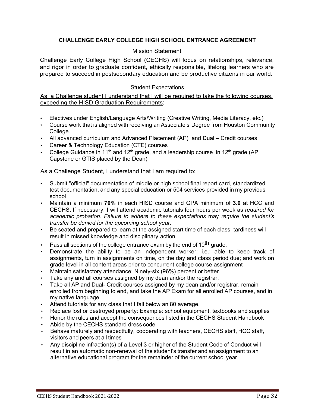### **CHALLENGE EARLY COLLEGE HIGH SCHOOL ENTRANCE AGREEMENT**

### Mission Statement

Challenge Early College High School (CECHS) will focus on relationships, relevance, and rigor in order to graduate confident, ethically responsible, lifelong learners who are prepared to succeed in postsecondary education and be productive citizens in our world.

### Student Expectations

As a Challenge student I understand that I will be required to take the following courses, exceeding the HISD Graduation Requirements:

- Electives under English/Language Arts/Writing (Creative Writing, Media Literacy, etc.)
- Course work that is aligned with receiving an Associate's Degree from Houston Community College.
- All advanced curriculum and Advanced Placement (AP) and Dual Credit courses
- Career & Technology Education (CTE) courses
- College Guidance in 11<sup>th</sup> and 12<sup>th</sup> grade, and a leadership course in 12<sup>th</sup> grade (AP Capstone or GTIS placed by the Dean)

### As a Challenge Student, I understand that I am required to:

- Submit "official" documentation of middle or high school final report card, standardized test documentation, and any special education or 504 services provided in my previous school
- Maintain a minimum **70%** in each HISD course and GPA minimum of **3.0** at HCC and CECHS. If necessary, I will attend academic tutorials four hours per week as *required for academic probation. Failure to adhere to these expectations* may *require the student's transfer be denied for the upcoming school year.*
- Be seated and prepared to learn at the assigned start time of each class; tardiness will result in missed knowledge and disciplinary action
- Pass all sections of the college entrance exam by the end of 10<sup>th</sup> grade,
- Demonstrate the ability to be an independent worker: i.e.: able to keep track of assignments, turn in assignments on time, on the day and class period due; and work on grade level in all content areas prior to concurrent college course assignment
- Maintain satisfactory attendance; Ninety-six (96%) percent or better.
- Take any and all courses assigned by my dean and/or the registrar.
- Take all AP and Dual- Credit courses assigned by my dean and/or registrar, remain enrolled from beginning to end, and take the AP Exam for all enrolled AP courses, and in my native language.
- Attend tutorials for any class that I fall below an 80 average.
- Replace lost or destroyed property: Example: school equipment, textbooks and supplies
- Honor the rules and accept the consequences listed in the CECHS Student Handbook
- Abide by the CECHS standard dress code
- Behave maturely and respectfully, cooperating with teachers, CECHS staff, HCC staff, visitors and peers at all times
- Any discipline infraction(s) of a Level 3 or higher of the Student Code of Conduct will result in an automatic non-renewal of the student's transfer and an assignment to an alternative educational program for the remainder of the current school year.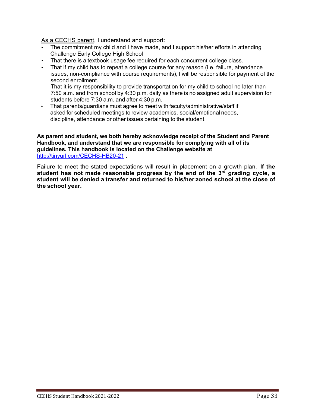As a CECHS parent, I understand and support:

- The commitment my child and I have made, and I support his/her efforts in attending Challenge Early College High School
- That there is a textbook usage fee required for each concurrent college class.
- That if my child has to repeat a college course for any reason (i.e. failure, attendance issues, non-compliance with course requirements), I will be responsible for payment of the second enrollment.

That it is my responsibility to provide transportation for my child to school no later than 7:50 a.m. and from school by 4:30 p.m. daily as there is no assigned adult supervision for students before 7:30 a.m. and after 4:30 p.m.

• That parents/guardians must agree to meet with faculty/administrative/staff if asked for scheduled meetings to review academics, social/emotional needs, discipline, attendance or other issues pertaining to the student.

**As parent and student, we both hereby acknowledge receipt of the Student and Parent Handbook, and understand that we are responsible for complying with all of its guidelines. This handbook is located on the Challenge website at**  <http://tinyurl.com/CECHS-HB20-21> .

Failure to meet the stated expectations will result in placement on a growth plan. **If the student has not made reasonable progress by the end of the 3rd grading cycle, a student will be denied a transfer and returned to his/her zoned school at the close of the school year.**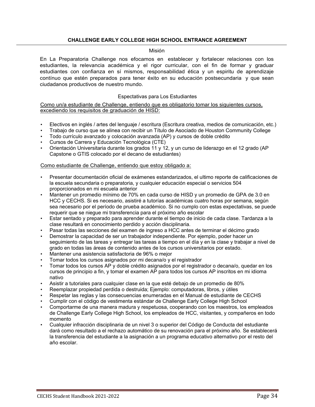### **CHALLENGE EARLY COLLEGE HIGH SCHOOL ENTRANCE AGREEMENT**

#### Misión

En La Preparatoria Challenge nos efocamos en establecer y fortalecer relaciones con los estudiantes, la relevancia académica y el rigor curricular, con el fin de formar y graduar estudiantes con confianza en sí mismos, responsabilidad ética y un espiritu de aprendizaje contínuo que estén preparados para tener éxito en su educación postsecundaria y que sean ciudadanos productivos de nuestro mundo.

#### Espectativas para Los Estudiantes

Como un/a estudiante de Challenge, entiendo que es obligatorio tomar los siguientes cursos, excediendo los requisitos de graduación de HISD:

- Electivos en inglés / artes del lenguaje / escritura (Escritura creativa, medios de comunicación, etc.)
- Trabajo de curso que se alinea con recibir un Título de Asociado de Houston Community College
- Todo currículo avanzado y colocación avanzada (AP) y cursos de doble crédito
- Cursos de Carrera y Educación Tecnológica (CTE)
- Orientación Universitaria durante los grados 11 y 12, y un curso de liderazgo en el 12 grado (AP Capstone o GTIS colocado por el decano de estudiantes)

#### Como estudiante de Challenge, entiendo que estoy obligado a:

- Presentar documentación oficial de exámenes estandarizados, el ultimo reporte de calificaciones de la escuela secundaria o preparatoria, y cualquier educación especial o servicios 504 proporcionados en mi escuela anterior
- Mantener un promedio mínimo de 70% en cada curso de HISD y un promedio de GPA de 3.0 en HCC y CECHS. Si es necesario, asistiré a tutorías académicas cuatro horas por semana, según sea necesario por el período de prueba académico. Si no cumplo con estas expectativas, se puede requerir que se niegue mi transferencia para el próximo año escolar
- Estar sentado y preparado para aprender durante el tiempo de inicio de cada clase. Tardanza a la clase resultará en conocimiento perdido y acción disciplinaria.
- Pasar todas las secciones del examen de ingreso a HCC antes de terminar el décimo grado
- Demostrar la capacidad de ser un trabajador independiente. Por ejemplo, poder hacer un seguimiento de las tareas y entregar las tareas a tiempo en el día y en la clase y trabajar a nivel de grado en todas las áreas de contenido antes de los cursos universitarios por estado.
- Mantener una asistencia satisfactoria de 96% o mejor
- Tomar todos los cursos asignados por mi decana/o y el registrador
- Tomar todos los cursos AP y doble crédito asignados por el registrador o decana/o, quedar en los cursos de principio a fin, y tomar el examen AP para todos los cursos AP inscritos en mi idioma nativo
- Asistir a tutoriales para cualquier clase en la que esté debajo de un promedio de 80%
- Reemplazar propiedad perdida o destruida; Ejemplo: computadoras, libros, y útiles
- Respetar las reglas y las consecuencias enumeradas en el Manual de estudiante de CECHS
- Cumplir con el código de vestimenta estándar de Challenge Early College High School
- Comportarme de una manera madura y respetuosa, cooperando con los maestros, los empleados de Challenge Early College High School, los empleados de HCC, visitantes, y compañeros en todo momento
- Cualquier infracción disciplinaria de un nivel 3 o superior del Código de Conducta del estudiante dará como resultado a el rechazo automático de su renovación para el próximo año. Se establecerá la transferencia del estudiante a la asignación a un programa educativo alternativo por el resto del año escolar.